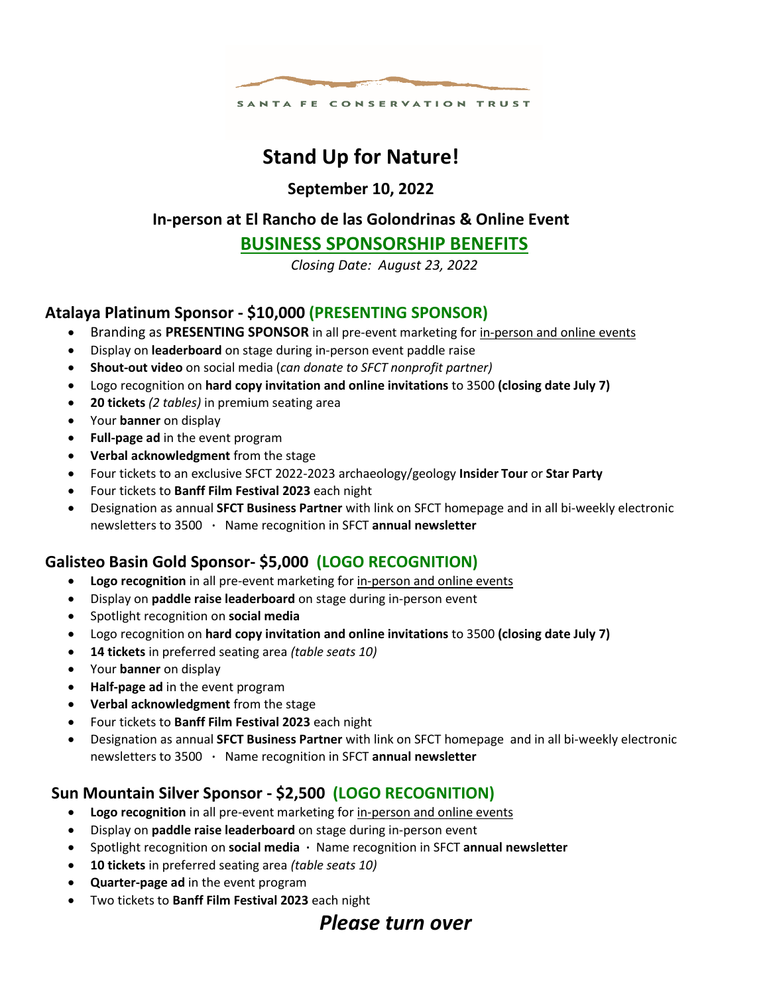

# **Stand Up for Nature!**

**September 10, 2022**

## **In-person at El Rancho de las Golondrinas & Online Event**

## **BUSINESS SPONSORSHIP BENEFITS**

*Closing Date: August 23, 2022*

## **Atalaya Platinum Sponsor - \$10,000 (PRESENTING SPONSOR)**

- Branding as **PRESENTING SPONSOR** in all pre-event marketing for in-person and online events
- Display on **leaderboard** on stage during in-person event paddle raise
- **Shout-out video** on social media (*can donate to SFCT nonprofit partner)*
- Logo recognition on **hard copy invitation and online invitations** to 3500 **(closing date July 7)**
- **20 tickets** *(2 tables)* in premium seating area
- Your **banner** on display
- **Full-page ad** in the event program
- **Verbal acknowledgment** from the stage
- Four tickets to an exclusive SFCT 2022-2023 archaeology/geology **Insider Tour** or **Star Party**
- Four tickets to **Banff Film Festival 2023** each night
- Designation as annual **SFCT Business Partner** with link on SFCT homepage and in all bi-weekly electronic newsletters to 3500 **∙** Name recognition in SFCT **annual newsletter**

## **Galisteo Basin Gold Sponsor- \$5,000 (LOGO RECOGNITION)**

- **Logo recognition** in all pre-event marketing for in-person and online events
- Display on **paddle raise leaderboard** on stage during in-person event
- Spotlight recognition on **social media**
- Logo recognition on **hard copy invitation and online invitations** to 3500 **(closing date July 7)**
- **14 tickets** in preferred seating area *(table seats 10)*
- Your **banner** on display
- **Half-page ad** in the event program
- **Verbal acknowledgment** from the stage
- Four tickets to **Banff Film Festival 2023** each night
- Designation as annual **SFCT Business Partner** with link on SFCT homepage and in all bi-weekly electronic newsletters to 3500 **∙** Name recognition in SFCT **annual newsletter**

## **Sun Mountain Silver Sponsor - \$2,500 (LOGO RECOGNITION)**

- **Logo recognition** in all pre-event marketing for in-person and online events
- Display on **paddle raise leaderboard** on stage during in-person event
- Spotlight recognition on **social media ∙** Name recognition in SFCT **annual newsletter**
- **10 tickets** in preferred seating area *(table seats 10)*
- **Quarter-page ad** in the event program
- Two tickets to **Banff Film Festival 2023** each night

## *Please turn over*